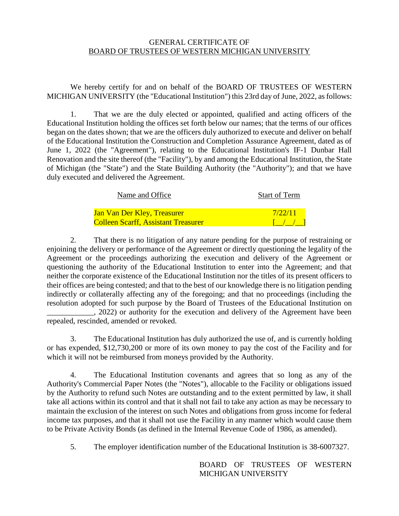## GENERAL CERTIFICATE OF BOARD OF TRUSTEES OF WESTERN MICHIGAN UNIVERSITY

We hereby certify for and on behalf of the BOARD OF TRUSTEES OF WESTERN MICHIGAN UNIVERSITY (the "Educational Institution") this 23rd day of June, 2022, as follows:

1. That we are the duly elected or appointed, qualified and acting officers of the Educational Institution holding the offices set forth below our names; that the terms of our offices began on the dates shown; that we are the officers duly authorized to execute and deliver on behalf of the Educational Institution the Construction and Completion Assurance Agreement, dated as of June 1, 2022 (the "Agreement"), relating to the Educational Institution's IF-1 Dunbar Hall Renovation and the site thereof (the "Facility"), by and among the Educational Institution, the State of Michigan (the "State") and the State Building Authority (the "Authority"); and that we have duly executed and delivered the Agreement.

| Name and Office                            | <b>Start of Term</b> |
|--------------------------------------------|----------------------|
| <u>Jan Van Der Kley, Treasurer-</u>        | 7/22/11              |
| <b>Colleen Scarff, Assistant Treasurer</b> |                      |

2. That there is no litigation of any nature pending for the purpose of restraining or enjoining the delivery or performance of the Agreement or directly questioning the legality of the Agreement or the proceedings authorizing the execution and delivery of the Agreement or questioning the authority of the Educational Institution to enter into the Agreement; and that neither the corporate existence of the Educational Institution nor the titles of its present officers to their offices are being contested; and that to the best of our knowledge there is no litigation pending indirectly or collaterally affecting any of the foregoing; and that no proceedings (including the resolution adopted for such purpose by the Board of Trustees of the Educational Institution on \_\_\_\_\_\_\_\_\_\_\_\_, 2022) or authority for the execution and delivery of the Agreement have been

repealed, rescinded, amended or revoked.

3. The Educational Institution has duly authorized the use of, and is currently holding or has expended, \$12,730,200 or more of its own money to pay the cost of the Facility and for which it will not be reimbursed from moneys provided by the Authority.

4. The Educational Institution covenants and agrees that so long as any of the Authority's Commercial Paper Notes (the "Notes"), allocable to the Facility or obligations issued by the Authority to refund such Notes are outstanding and to the extent permitted by law, it shall take all actions within its control and that it shall not fail to take any action as may be necessary to maintain the exclusion of the interest on such Notes and obligations from gross income for federal income tax purposes, and that it shall not use the Facility in any manner which would cause them to be Private Activity Bonds (as defined in the Internal Revenue Code of 1986, as amended).

5. The employer identification number of the Educational Institution is 38-6007327.

BOARD OF TRUSTEES OF WESTERN MICHIGAN UNIVERSITY